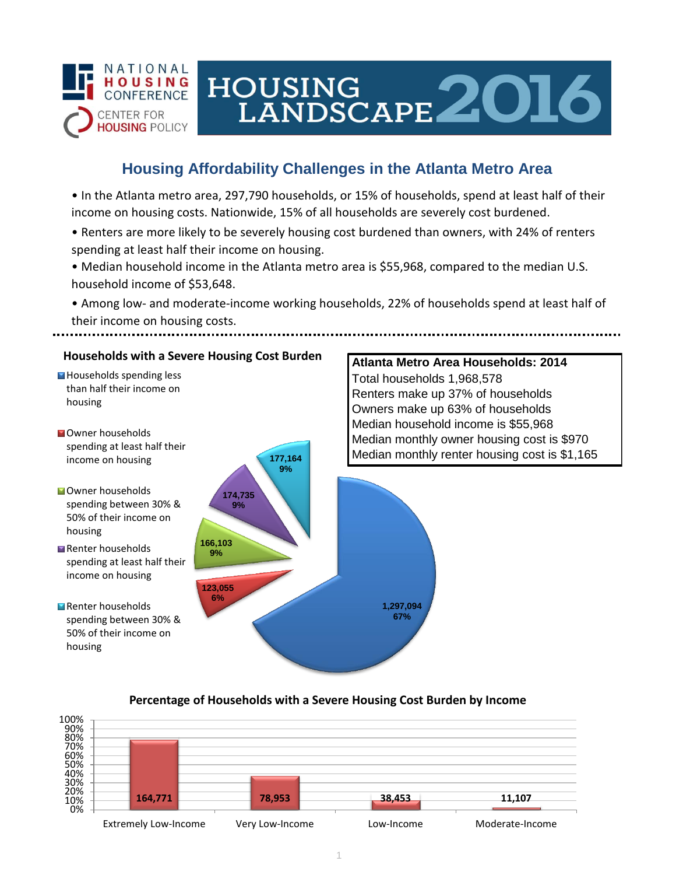

# HOUSING<br>LANDSCAPE 2016

## **Housing Affordability Challenges in the Atlanta Metro Area**

• In the Atlanta metro area, 297,790 households, or 15% of households, spend at least half of their income on housing costs. Nationwide, 15% of all households are severely cost burdened.

- Renters are more likely to be severely housing cost burdened than owners, with 24% of renters spending at least half their income on housing.
- Median household income in the Atlanta metro area is \$55,968, compared to the median U.S. household income of \$53,648.
- Among low- and moderate-income working households, 22% of households spend at least half of their income on housing costs.



### **Percentage of Households with a Severe Housing Cost Burden by Income**